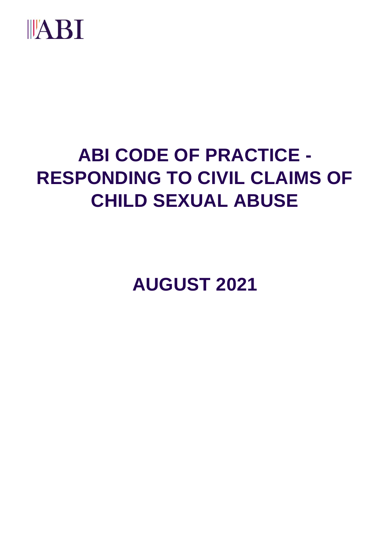

# **ABI CODE OF PRACTICE - RESPONDING TO CIVIL CLAIMS OF CHILD SEXUAL ABUSE**

**AUGUST 2021**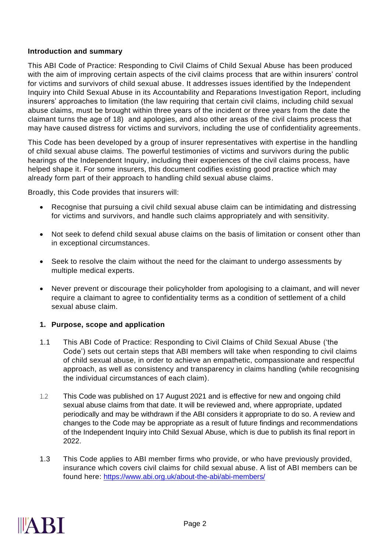### **Introduction and summary**

This ABI Code of Practice: Responding to Civil Claims of Child Sexual Abuse has been produced with the aim of improving certain aspects of the civil claims process that are within insurers' control for victims and survivors of child sexual abuse. It addresses issues identified by the Independent Inquiry into Child Sexual Abuse in its Accountability and Reparations Investigation Report, including insurers' approaches to limitation (the law requiring that certain civil claims, including child sexual abuse claims, must be brought within three years of the incident or three years from the date the claimant turns the age of 18) and apologies, and also other areas of the civil claims process that may have caused distress for victims and survivors, including the use of confidentiality agreements.

This Code has been developed by a group of insurer representatives with expertise in the handling of child sexual abuse claims. The powerful testimonies of victims and survivors during the public hearings of the Independent Inquiry, including their experiences of the civil claims process, have helped shape it. For some insurers, this document codifies existing good practice which may already form part of their approach to handling child sexual abuse claims.

Broadly, this Code provides that insurers will:

- Recognise that pursuing a civil child sexual abuse claim can be intimidating and distressing for victims and survivors, and handle such claims appropriately and with sensitivity.
- Not seek to defend child sexual abuse claims on the basis of limitation or consent other than in exceptional circumstances.
- Seek to resolve the claim without the need for the claimant to undergo assessments by multiple medical experts.
- Never prevent or discourage their policyholder from apologising to a claimant, and will never require a claimant to agree to confidentiality terms as a condition of settlement of a child sexual abuse claim.

### **1. Purpose, scope and application**

- 1.1 This ABI Code of Practice: Responding to Civil Claims of Child Sexual Abuse ('the Code') sets out certain steps that ABI members will take when responding to civil claims of child sexual abuse, in order to achieve an empathetic, compassionate and respectful approach, as well as consistency and transparency in claims handling (while recognising the individual circumstances of each claim).
- 1.2 This Code was published on 17 August 2021 and is effective for new and ongoing child sexual abuse claims from that date. It will be reviewed and, where appropriate, updated periodically and may be withdrawn if the ABI considers it appropriate to do so. A review and changes to the Code may be appropriate as a result of future findings and recommendations of the Independent Inquiry into Child Sexual Abuse, which is due to publish its final report in 2022.
- 1.3 This Code applies to ABI member firms who provide, or who have previously provided, insurance which covers civil claims for child sexual abuse. A list of ABI members can be found here:<https://www.abi.org.uk/about-the-abi/abi-members/>

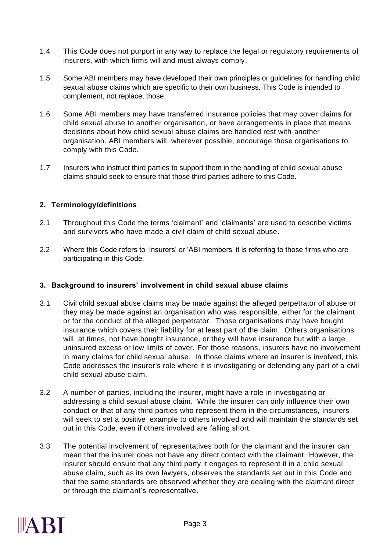- 1.4 This Code does not purport in any way to replace the legal or regulatory requirements of insurers, with which firms will and must always comply.
- 1.5 Some ABI members may have developed their own principles or guidelines for handling child sexual abuse claims which are specific to their own business. This Code is intended to complement, not replace, those.
- 1.6 Some ABI members may have transferred insurance policies that may cover claims for child sexual abuse to another organisation, or have arrangements in place that means decisions about how child sexual abuse claims are handled rest with another organisation. ABI members will, wherever possible, encourage those organisations to comply with this Code.
- 1.7 Insurers who instruct third parties to support them in the handling of child sexual abuse claims should seek to ensure that those third parties adhere to this Code.

## **2. Terminology/definitions**

- 2.1 Throughout this Code the terms 'claimant' and 'claimants' are used to describe victims and survivors who have made a civil claim of child sexual abuse.
- 2.2 Where this Code refers to 'Insurers' or 'ABI members' it is referring to those firms who are participating in this Code.

### **3. Background to insurers' involvement in child sexual abuse claims**

- 3.1 Civil child sexual abuse claims may be made against the alleged perpetrator of abuse or they may be made against an organisation who was responsible, either for the claimant or for the conduct of the alleged perpetrator. Those organisations may have bought insurance which covers their liability for at least part of the claim. Others organisations will, at times, not have bought insurance, or they will have insurance but with a large uninsured excess or low limits of cover. For those reasons, insurers have no involvement in many claims for child sexual abuse. In those claims where an insurer is involved, this Code addresses the insurer's role where it is investigating or defending any part of a civil child sexual abuse claim.
- 3.2 A number of parties, including the insurer, might have a role in investigating or addressing a child sexual abuse claim. While the insurer can only influence their own conduct or that of any third parties who represent them in the circumstances, insurers will seek to set a positive example to others involved and will maintain the standards set out in this Code, even if others involved are falling short.
- 3.3 The potential involvement of representatives both for the claimant and the insurer can mean that the insurer does not have any direct contact with the claimant. However, the insurer should ensure that any third party it engages to represent it in a child sexual abuse claim, such as its own lawyers, observes the standards set out in this Code and that the same standards are observed whether they are dealing with the claimant direct or through the claimant's representative.

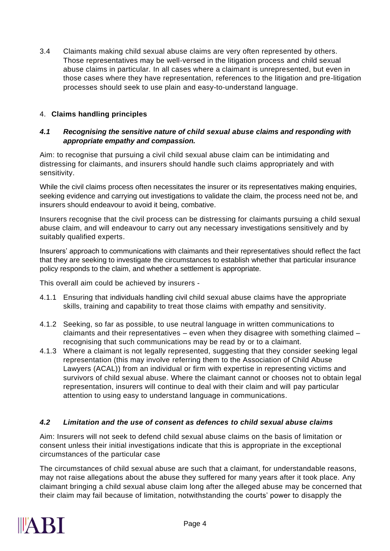3.4 Claimants making child sexual abuse claims are very often represented by others. Those representatives may be well-versed in the litigation process and child sexual abuse claims in particular. In all cases where a claimant is unrepresented, but even in those cases where they have representation, references to the litigation and pre-litigation processes should seek to use plain and easy-to-understand language.

# 4. **Claims handling principles**

## *4.1 Recognising the sensitive nature of child sexual abuse claims and responding with appropriate empathy and compassion.*

Aim: to recognise that pursuing a civil child sexual abuse claim can be intimidating and distressing for claimants, and insurers should handle such claims appropriately and with sensitivity.

While the civil claims process often necessitates the insurer or its representatives making enquiries, seeking evidence and carrying out investigations to validate the claim, the process need not be, and insurers should endeavour to avoid it being, combative.

Insurers recognise that the civil process can be distressing for claimants pursuing a child sexual abuse claim, and will endeavour to carry out any necessary investigations sensitively and by suitably qualified experts.

Insurers' approach to communications with claimants and their representatives should reflect the fact that they are seeking to investigate the circumstances to establish whether that particular insurance policy responds to the claim, and whether a settlement is appropriate.

This overall aim could be achieved by insurers -

- 4.1.1 Ensuring that individuals handling civil child sexual abuse claims have the appropriate skills, training and capability to treat those claims with empathy and sensitivity.
- 4.1.2 Seeking, so far as possible, to use neutral language in written communications to claimants and their representatives – even when they disagree with something claimed – recognising that such communications may be read by or to a claimant.
- 4.1.3 Where a claimant is not legally represented, suggesting that they consider seeking legal representation (this may involve referring them to the Association of Child Abuse Lawyers (ACAL)) from an individual or firm with expertise in representing victims and survivors of child sexual abuse. Where the claimant cannot or chooses not to obtain legal representation, insurers will continue to deal with their claim and will pay particular attention to using easy to understand language in communications.

# *4.2 Limitation and the use of consent as defences to child sexual abuse claims*

Aim: Insurers will not seek to defend child sexual abuse claims on the basis of limitation or consent unless their initial investigations indicate that this is appropriate in the exceptional circumstances of the particular case

The circumstances of child sexual abuse are such that a claimant, for understandable reasons, may not raise allegations about the abuse they suffered for many years after it took place. Any claimant bringing a child sexual abuse claim long after the alleged abuse may be concerned that their claim may fail because of limitation, notwithstanding the courts' power to disapply the

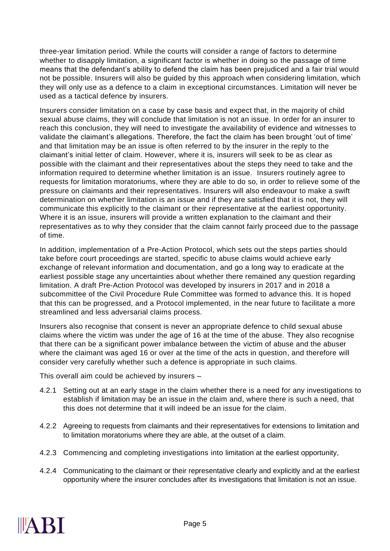three-year limitation period. While the courts will consider a range of factors to determine whether to disapply limitation, a significant factor is whether in doing so the passage of time means that the defendant's ability to defend the claim has been prejudiced and a fair trial would not be possible. Insurers will also be guided by this approach when considering limitation, which they will only use as a defence to a claim in exceptional circumstances. Limitation will never be used as a tactical defence by insurers.

Insurers consider limitation on a case by case basis and expect that, in the majority of child sexual abuse claims, they will conclude that limitation is not an issue. In order for an insurer to reach this conclusion, they will need to investigate the availability of evidence and witnesses to validate the claimant's allegations. Therefore, the fact the claim has been brought 'out of time' and that limitation may be an issue is often referred to by the insurer in the reply to the claimant's initial letter of claim. However, where it is, insurers will seek to be as clear as possible with the claimant and their representatives about the steps they need to take and the information required to determine whether limitation is an issue. Insurers routinely agree to requests for limitation moratoriums, where they are able to do so, in order to relieve some of the pressure on claimants and their representatives. Insurers will also endeavour to make a swift determination on whether limitation is an issue and if they are satisfied that it is not, they will communicate this explicitly to the claimant or their representative at the earliest opportunity. Where it is an issue, insurers will provide a written explanation to the claimant and their representatives as to why they consider that the claim cannot fairly proceed due to the passage of time.

In addition, implementation of a Pre-Action Protocol, which sets out the steps parties should take before court proceedings are started, specific to abuse claims would achieve early exchange of relevant information and documentation, and go a long way to eradicate at the earliest possible stage any uncertainties about whether there remained any question regarding limitation. A draft Pre-Action Protocol was developed by insurers in 2017 and in 2018 a subcommittee of the Civil Procedure Rule Committee was formed to advance this. It is hoped that this can be progressed, and a Protocol implemented, in the near future to facilitate a more streamlined and less adversarial claims process.

Insurers also recognise that consent is never an appropriate defence to child sexual abuse claims where the victim was under the age of 16 at the time of the abuse. They also recognise that there can be a significant power imbalance between the victim of abuse and the abuser where the claimant was aged 16 or over at the time of the acts in question, and therefore will consider very carefully whether such a defence is appropriate in such claims.

This overall aim could be achieved by insurers –

- 4.2.1 Setting out at an early stage in the claim whether there is a need for any investigations to establish if limitation may be an issue in the claim and, where there is such a need, that this does not determine that it will indeed be an issue for the claim.
- 4.2.2 Agreeing to requests from claimants and their representatives for extensions to limitation and to limitation moratoriums where they are able, at the outset of a claim.
- 4.2.3 Commencing and completing investigations into limitation at the earliest opportunity,
- 4.2.4 Communicating to the claimant or their representative clearly and explicitly and at the earliest opportunity where the insurer concludes after its investigations that limitation is not an issue.

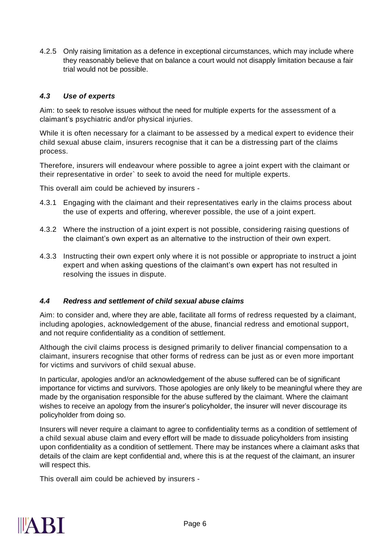4.2.5 Only raising limitation as a defence in exceptional circumstances, which may include where they reasonably believe that on balance a court would not disapply limitation because a fair trial would not be possible.

# *4.3 Use of experts*

Aim: to seek to resolve issues without the need for multiple experts for the assessment of a claimant's psychiatric and/or physical injuries.

While it is often necessary for a claimant to be assessed by a medical expert to evidence their child sexual abuse claim, insurers recognise that it can be a distressing part of the claims process.

Therefore, insurers will endeavour where possible to agree a joint expert with the claimant or their representative in order` to seek to avoid the need for multiple experts.

This overall aim could be achieved by insurers -

- 4.3.1 Engaging with the claimant and their representatives early in the claims process about the use of experts and offering, wherever possible, the use of a joint expert.
- 4.3.2 Where the instruction of a joint expert is not possible, considering raising questions of the claimant's own expert as an alternative to the instruction of their own expert.
- 4.3.3 Instructing their own expert only where it is not possible or appropriate to instruct a joint expert and when asking questions of the claimant's own expert has not resulted in resolving the issues in dispute.

### *4.4 Redress and settlement of child sexual abuse claims*

Aim: to consider and, where they are able, facilitate all forms of redress requested by a claimant, including apologies, acknowledgement of the abuse, financial redress and emotional support, and not require confidentiality as a condition of settlement.

Although the civil claims process is designed primarily to deliver financial compensation to a claimant, insurers recognise that other forms of redress can be just as or even more important for victims and survivors of child sexual abuse.

In particular, apologies and/or an acknowledgement of the abuse suffered can be of significant importance for victims and survivors. Those apologies are only likely to be meaningful where they are made by the organisation responsible for the abuse suffered by the claimant. Where the claimant wishes to receive an apology from the insurer's policyholder, the insurer will never discourage its policyholder from doing so.

Insurers will never require a claimant to agree to confidentiality terms as a condition of settlement of a child sexual abuse claim and every effort will be made to dissuade policyholders from insisting upon confidentiality as a condition of settlement. There may be instances where a claimant asks that details of the claim are kept confidential and, where this is at the request of the claimant, an insurer will respect this.

This overall aim could be achieved by insurers -